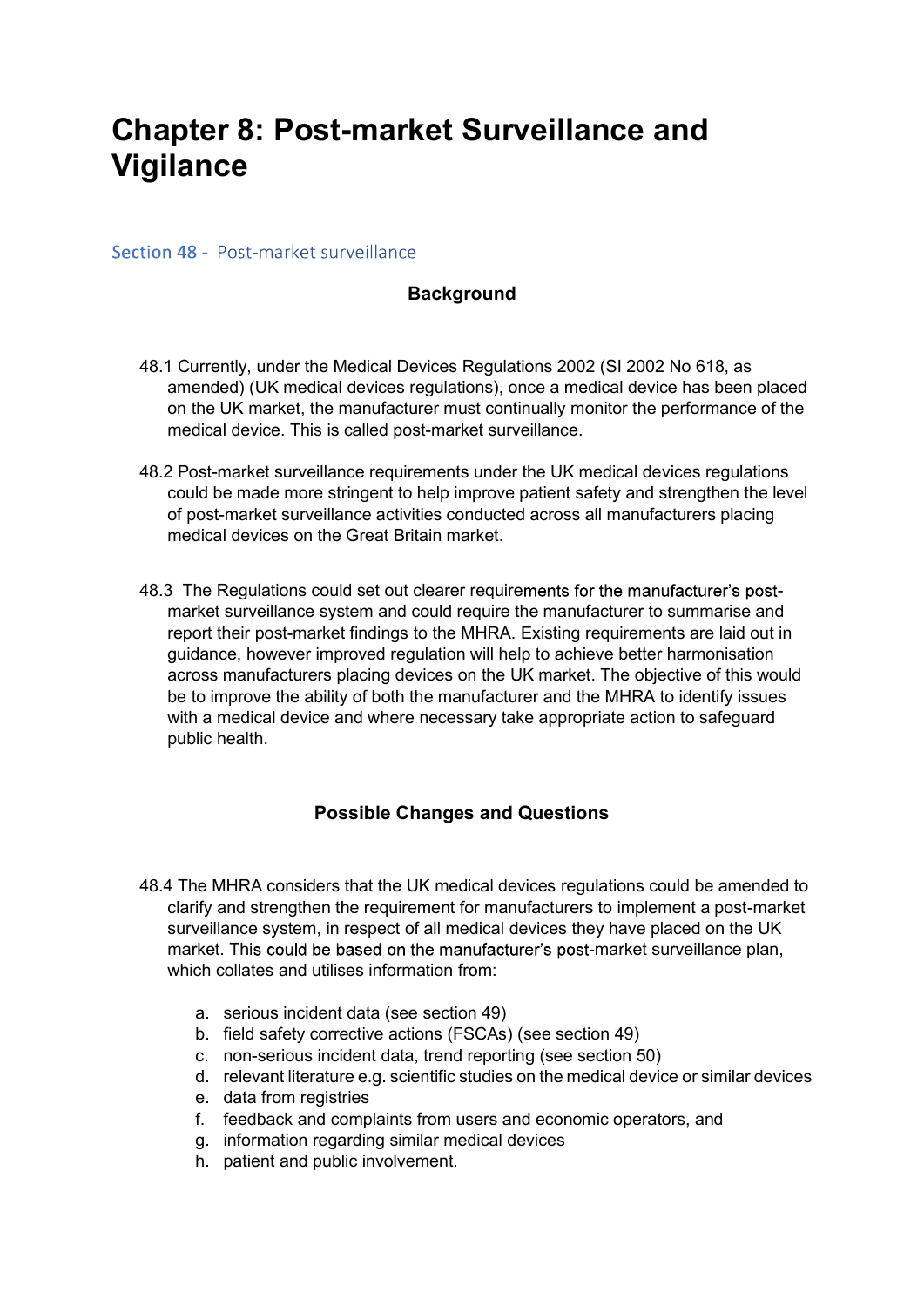# Chapter 8: Post-market Surveillance and Vigilance

Section 48 - Post-market surveillance

## **Background**

- 48.1 Currently, under the Medical Devices Regulations 2002 (SI 2002 No 618, as amended) (UK medical devices regulations), once a medical device has been placed on the UK market, the manufacturer must continually monitor the performance of the medical device. This is called post-market surveillance.
- 48.2 Post-market surveillance requirements under the UK medical devices regulations could be made more stringent to help improve patient safety and strengthen the level of post-market surveillance activities conducted across all manufacturers placing medical devices on the Great Britain market.
- 48.3 The Regulations could set out clearer requirements for the manufacturer's postmarket surveillance system and could require the manufacturer to summarise and report their post-market findings to the MHRA. Existing requirements are laid out in guidance, however improved regulation will help to achieve better harmonisation across manufacturers placing devices on the UK market. The objective of this would be to improve the ability of both the manufacturer and the MHRA to identify issues with a medical device and where necessary take appropriate action to safeguard public health.

### Possible Changes and Questions

- 48.4 The MHRA considers that the UK medical devices regulations could be amended to clarify and strengthen the requirement for manufacturers to implement a post-market surveillance system, in respect of all medical devices they have placed on the UK market. This could be based on the manufacturer's post-market surveillance plan, which collates and utilises information from:
	- a. serious incident data (see section 49)
	- b. field safety corrective actions (FSCAs) (see section 49)
	- c. non-serious incident data, trend reporting (see section 50)
	- d. relevant literature e.g. scientific studies on the medical device or similar devices
	- e. data from registries
	- f. feedback and complaints from users and economic operators, and
	- g. information regarding similar medical devices
	- h. patient and public involvement.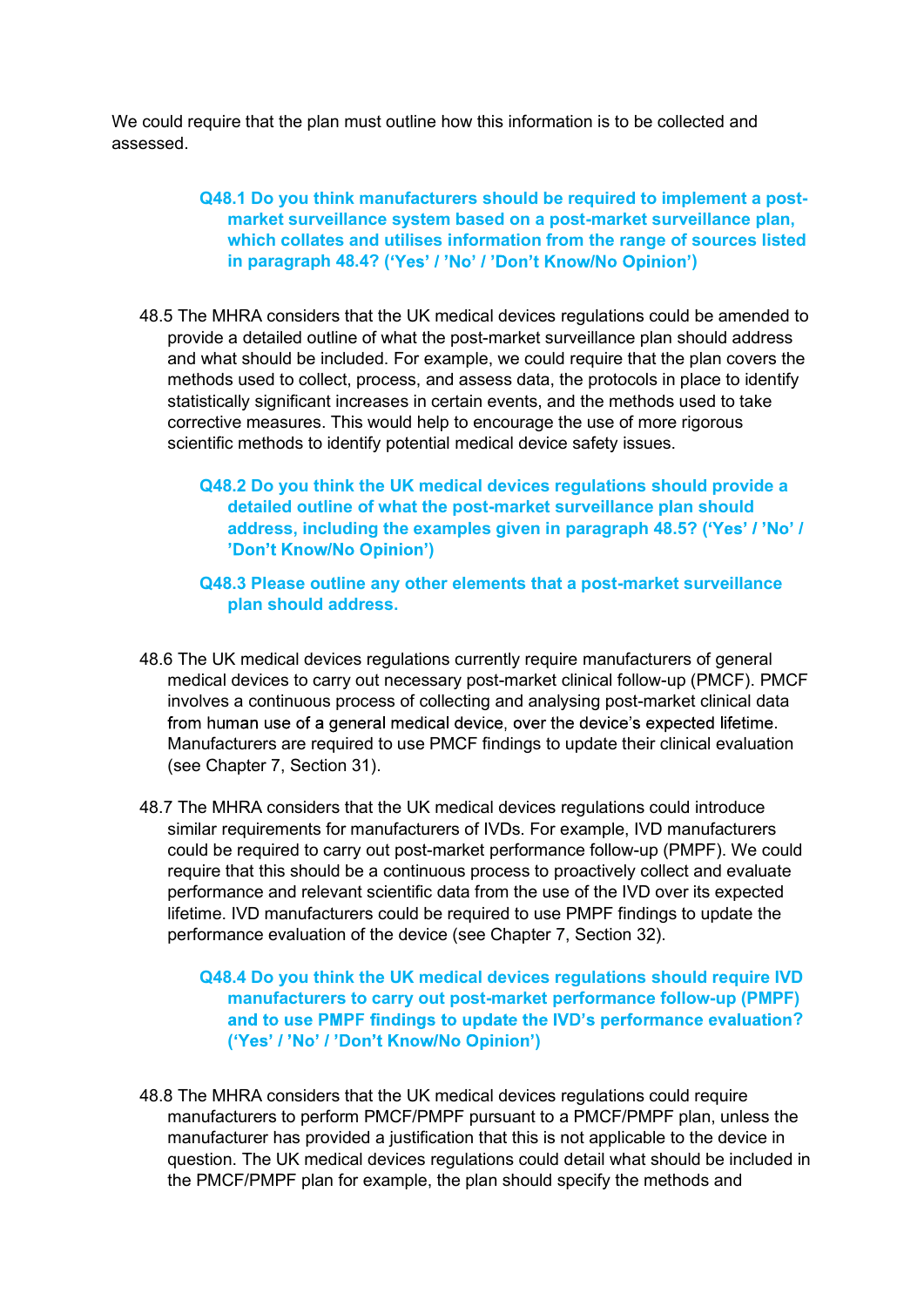We could require that the plan must outline how this information is to be collected and<br>assessed.<br>Q48.1 Do you think manufacturers should be required to implement a post-<br>market surveillance system based on a post-market s assessed.

#### Q48.1 Do you think manufacturers should be required to implement a postmarket surveillance system based on a post-market surveillance plan, which collates and utilises information from the range of sources listed in paragraph 48.4? ('Yes' / 'No' / 'Don't Know/No Opinion')

- 48.5 The MHRA considers that the UK medical devices regulations could be amended to provide a detailed outline of what the post-market surveillance plan should address and what should be included. For example, we could require that the plan covers the methods used to collect, process, and assess data, the protocols in place to identify statistically significant increases in certain events, and the methods used to take corrective measures. This would help to encourage the use of more rigorous scientific methods to identify potential medical device safety issues.
	- Q48.2 Do you think the UK medical devices regulations should provide a detailed outline of what the post-market surveillance plan should address, including the examples given in paragraph 48.5? ('Yes' / 'No' / )
	- Q48.3 Please outline any other elements that a post-market surveillance plan should address.
- 48.6 The UK medical devices regulations currently require manufacturers of general medical devices to carry out necessary post-market clinical follow-up (PMCF). PMCF involves a continuous process of collecting and analysing post-market clinical data from human use of a general medical device, over the device's expected lifetime. Manufacturers are required to use PMCF findings to update their clinical evaluation (see Chapter 7, Section 31).
- 48.7 The MHRA considers that the UK medical devices regulations could introduce similar requirements for manufacturers of IVDs. For example, IVD manufacturers could be required to carry out post-market performance follow-up (PMPF). We could require that this should be a continuous process to proactively collect and evaluate performance and relevant scientific data from the use of the IVD over its expected lifetime. IVD manufacturers could be required to use PMPF findings to update the performance evaluation of the device (see Chapter 7, Section 32).

Q48.4 Do you think the UK medical devices regulations should require IVD manufacturers to carry out post-market performance follow-up (PMPF) ? ('Yes' / 'No' / 'Don't Know/No Opinion')

48.8 The MHRA considers that the UK medical devices regulations could require manufacturers to perform PMCF/PMPF pursuant to a PMCF/PMPF plan, unless the manufacturer has provided a justification that this is not applicable to the device in question. The UK medical devices regulations could detail what should be included in the PMCF/PMPF plan for example, the plan should specify the methods and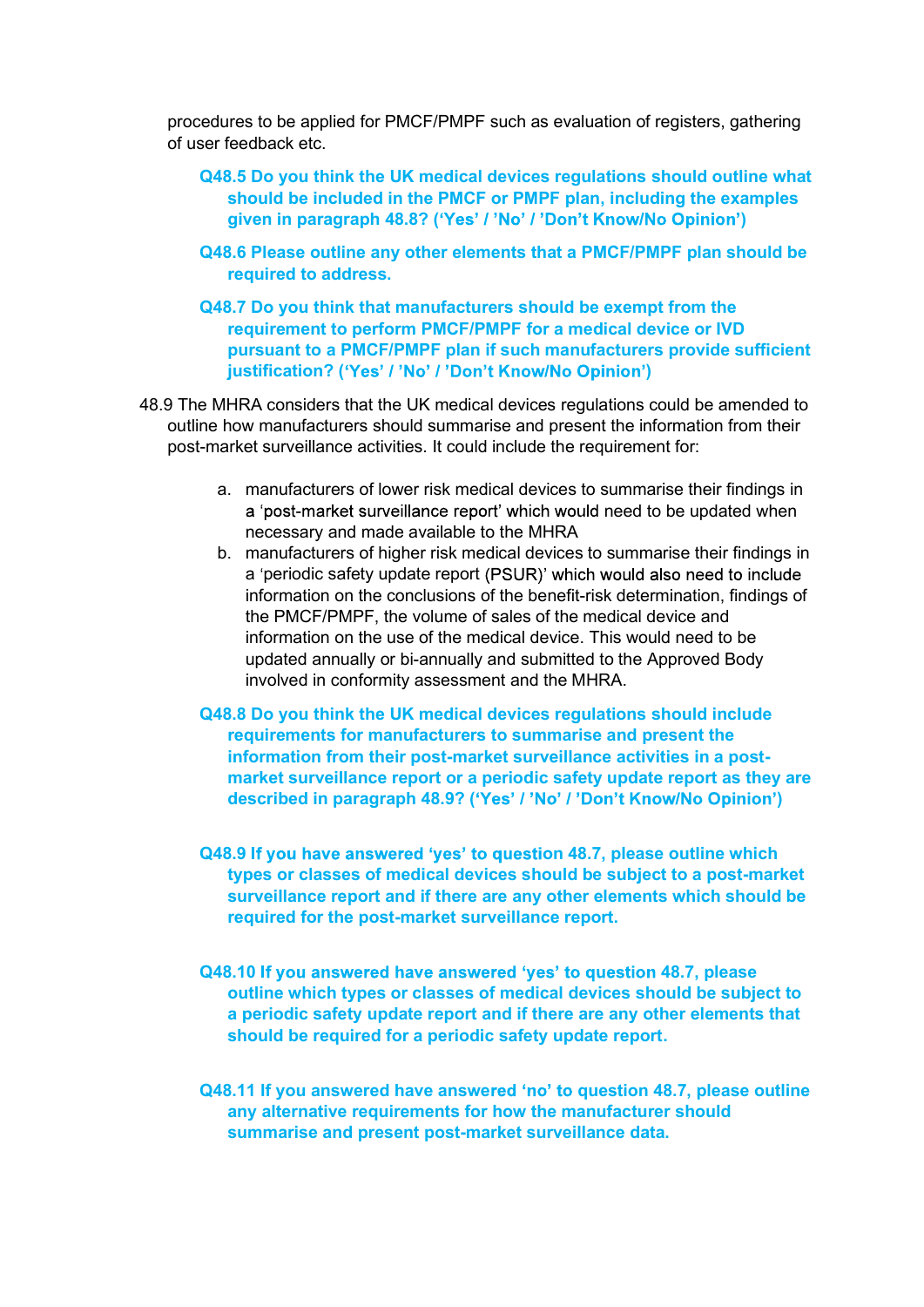procedures to be applied for PMCF/PMPF such as evaluation of registers, gathering of user feedback etc.

- Q48.5 Do you think the UK medical devices regulations should outline what should be included in the PMCF or PMPF plan, including the examples given in paragraph 48.8? ('Yes' / 'No' / 'Don't Know/No Opinion')
- Q48.6 Please outline any other elements that a PMCF/PMPF plan should be required to address.
- Q48.7 Do you think that manufacturers should be exempt from the requirement to perform PMCF/PMPF for a medical device or IVD pursuant to a PMCF/PMPF plan if such manufacturers provide sufficient justification? ('Yes' / 'No' / 'Don't Know/No Opinion')
- 48.9 The MHRA considers that the UK medical devices regulations could be amended to outline how manufacturers should summarise and present the information from their post-market surveillance activities. It could include the requirement for:
	- a. manufacturers of lower risk medical devices to summarise their findings in a 'post-market surveillance report' which would need to be updated when necessary and made available to the MHRA
	- b. manufacturers of higher risk medical devices to summarise their findings in a 'periodic safety update report (PSUR)' which would also need to include information on the conclusions of the benefit-risk determination, findings of the PMCF/PMPF, the volume of sales of the medical device and information on the use of the medical device. This would need to be updated annually or bi-annually and submitted to the Approved Body involved in conformity assessment and the MHRA.
	- Q48.8 Do you think the UK medical devices regulations should include requirements for manufacturers to summarise and present the information from their post-market surveillance activities in a postmarket surveillance report or a periodic safety update report as they are described in paragraph 48.9? ('Yes' / 'No' / 'Don't Know/No Opinion')
	- Q48.9 If you have answered 'yes' to question 48.7, please outline which types or classes of medical devices should be subject to a post-market surveillance report and if there are any other elements which should be required for the post-market surveillance report.
	- Q48.10 If you answered have answered 'yes' to question 48.7, please outline which types or classes of medical devices should be subject to a periodic safety update report and if there are any other elements that should be required for a periodic safety update report.
	- Q48.11 If you answered have answered 'no' to question 48.7, please outline any alternative requirements for how the manufacturer should summarise and present post-market surveillance data.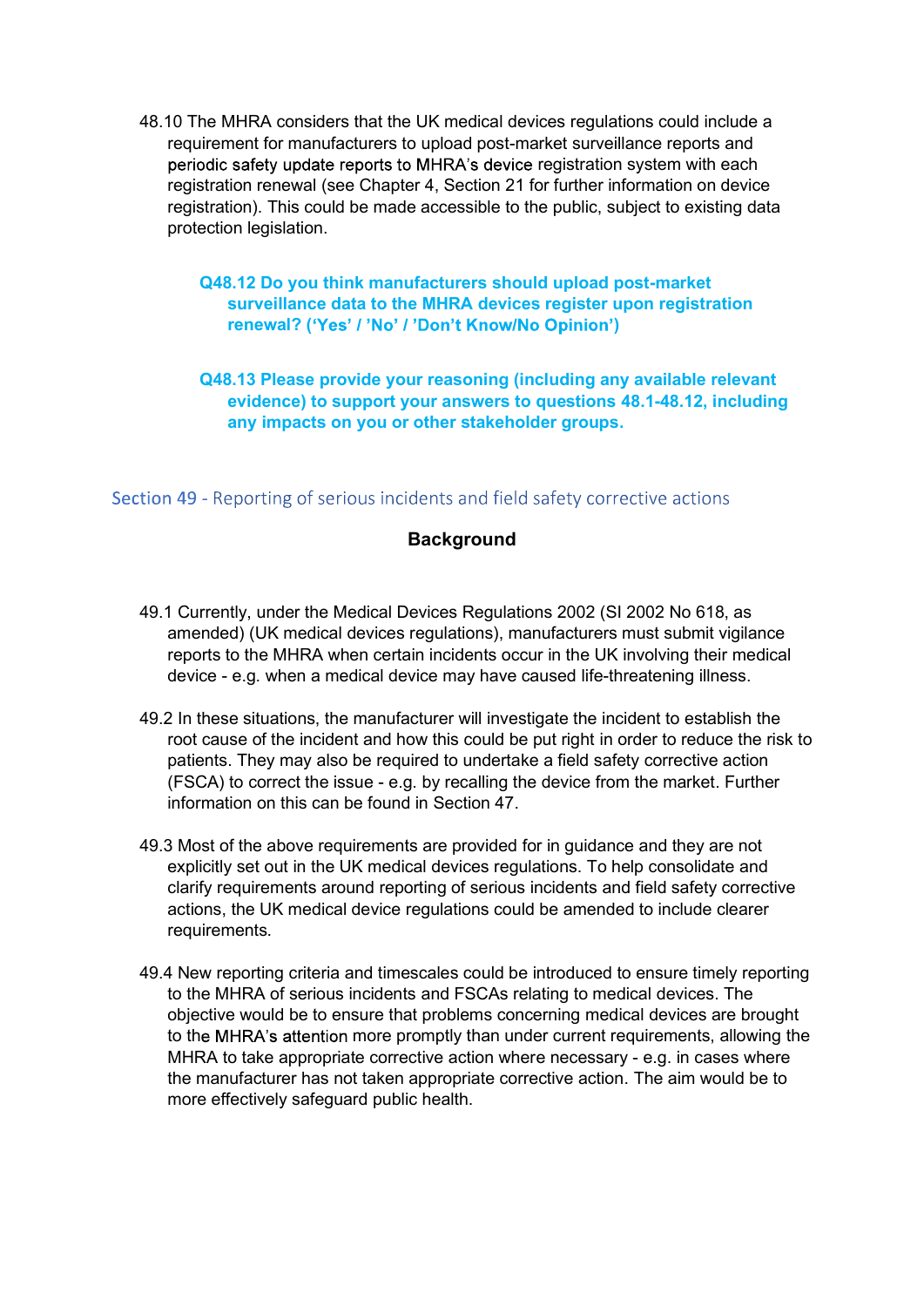48.10 The MHRA considers that the UK medical devices regulations could include a<br>requirement for manufacturers to upload post-market surveillance reports and<br>periodic safety update reports to MHRA's device registration sys requirement for manufacturers to upload post-market surveillance reports and periodic safety update reports to MHRA's device registration system with each registration renewal (see Chapter 4, Section 21 for further information on device registration). This could be made accessible to the public, subject to existing data protection legislation.

#### Q48.12 Do you think manufacturers should upload post-market surveillance data to the MHRA devices register upon registration renewal? ('Yes' / 'No' / 'Don't Know/No Opinion')

Q48.13 Please provide your reasoning (including any available relevant evidence) to support your answers to questions 48.1-48.12, including any impacts on you or other stakeholder groups.

#### Section 49 - Reporting of serious incidents and field safety corrective actions

#### **Background**

- 49.1 Currently, under the Medical Devices Regulations 2002 (SI 2002 No 618, as amended) (UK medical devices regulations), manufacturers must submit vigilance reports to the MHRA when certain incidents occur in the UK involving their medical device - e.g. when a medical device may have caused life-threatening illness.
- 49.2 In these situations, the manufacturer will investigate the incident to establish the root cause of the incident and how this could be put right in order to reduce the risk to patients. They may also be required to undertake a field safety corrective action (FSCA) to correct the issue - e.g. by recalling the device from the market. Further information on this can be found in Section 47.
- 49.3 Most of the above requirements are provided for in guidance and they are not explicitly set out in the UK medical devices regulations. To help consolidate and clarify requirements around reporting of serious incidents and field safety corrective actions, the UK medical device regulations could be amended to include clearer requirements.
- 49.4 New reporting criteria and timescales could be introduced to ensure timely reporting to the MHRA of serious incidents and FSCAs relating to medical devices. The objective would be to ensure that problems concerning medical devices are brought to the MHRA's attention more promptly than under current requirements, allowing the MHRA to take appropriate corrective action where necessary - e.g. in cases where the manufacturer has not taken appropriate corrective action. The aim would be to more effectively safeguard public health.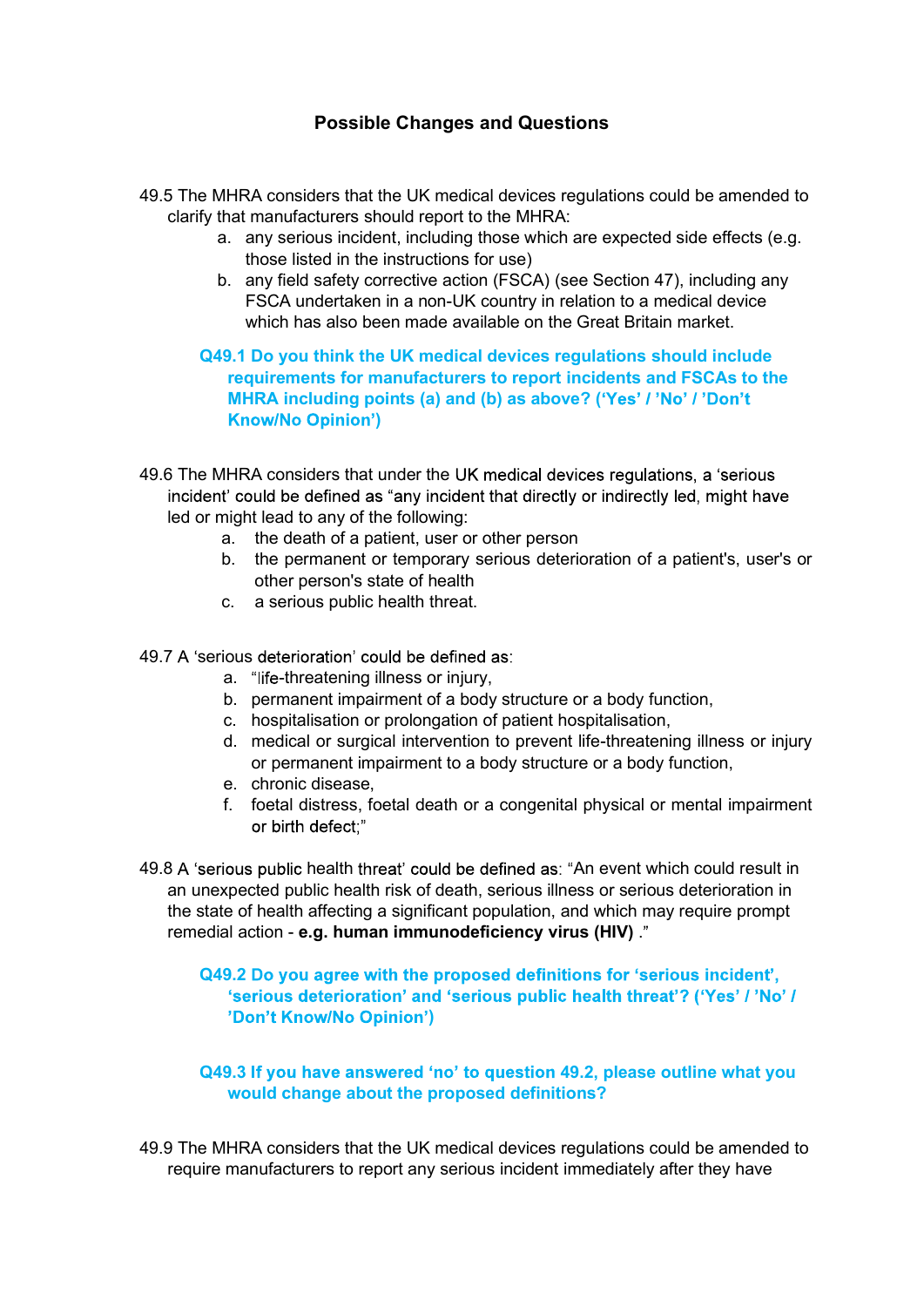# Possible Changes and Questions

- 49.5 The MHRA considers that the UK medical devices regulations could be amended to clarify that manufacturers should report to the MHRA:
	- a. any serious incident, including those which are expected side effects (e.g. those listed in the instructions for use)
	- b. any field safety corrective action (FSCA) (see Section 47), including any FSCA undertaken in a non-UK country in relation to a medical device which has also been made available on the Great Britain market

Q49.1 Do you think the UK medical devices regulations should include requirements for manufacturers to report incidents and FSCAs to the MHRA including points (a) and (b) as above? ('Yes' / 'No' / 'Don't )

49.6 The MHRA considers that under the UK medical devices regulations, a 'serious incident' could be defined as "any incident that directly or indirectly led, might have led or might lead to any of the following:

- a. the death of a patient, user or other person
- b. the permanent or temporary serious deterioration of a patient's, user's or other person's state of health
- c. a serious public health threat.

49.7 A 'serious deterioration' could be defined as:

- a. "life-threatening illness or injury,
- b. permanent impairment of a body structure or a body function,
- c. hospitalisation or prolongation of patient hospitalisation,
- d. medical or surgical intervention to prevent life-threatening illness or injury or permanent impairment to a body structure or a body function,
- e. chronic disease,
- f. foetal distress, foetal death or a congenital physical or mental impairment or birth defect:"
- 49.8 A 'serious public health threat' could be defined as: "An event which could result in an unexpected public health risk of death, serious illness or serious deterioration in the state of health affecting a significant population, and which may require prompt remedial action - e.g. human immunodeficiency virus (HIV) .

#### Q49.2 Do you agree with the proposed definitions for 'serious incident', 'serious deterioration' and 'serious public health threat'? ('Yes' / 'No' / )

#### Q49.3 If you have answered 'no' to question 49.2, please outline what you would change about the proposed definitions?

49.9 The MHRA considers that the UK medical devices regulations could be amended to require manufacturers to report any serious incident immediately after they have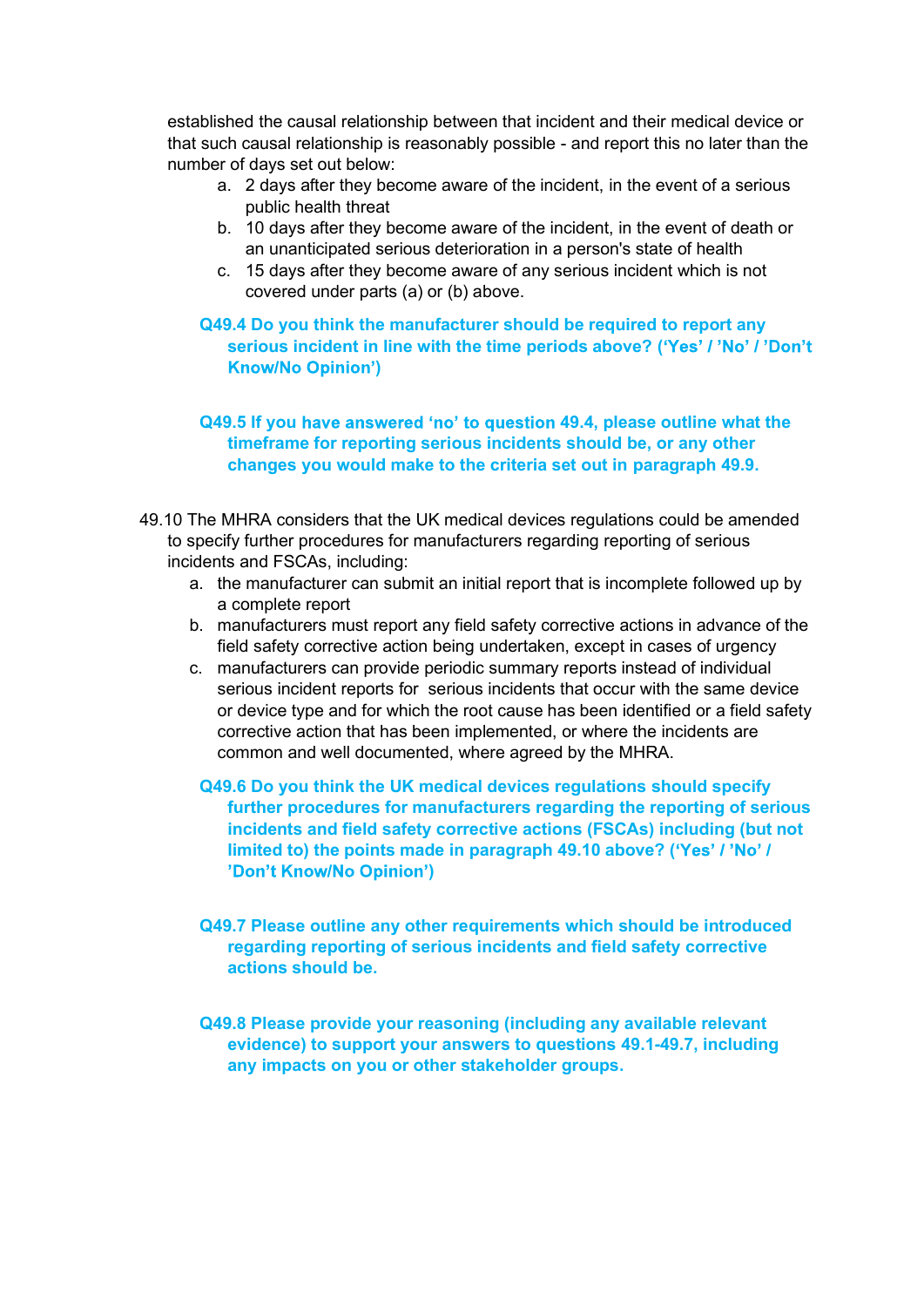established the causal relationship between that incident and their medical device or that such causal relationship is reasonably possible - and report this no later than the number of days set out below:

- a. 2 days after they become aware of the incident, in the event of a serious public health threat
- b. 10 days after they become aware of the incident, in the event of death or an unanticipated serious deterioration in a person's state of health
- c. 15 days after they become aware of any serious incident which is not covered under parts (a) or (b) above.

Q49.4 Do you think the manufacturer should be required to report any serious incident in line with the time periods above? ('Yes' / 'No' / 'Don't )

#### Q49.5 If you have answered 'no' to question 49.4, please outline what the timeframe for reporting serious incidents should be, or any other changes you would make to the criteria set out in paragraph 49.9.

- 49.10 The MHRA considers that the UK medical devices regulations could be amended to specify further procedures for manufacturers regarding reporting of serious incidents and FSCAs, including:
	- a. the manufacturer can submit an initial report that is incomplete followed up by a complete report
	- b. manufacturers must report any field safety corrective actions in advance of the field safety corrective action being undertaken, except in cases of urgency
	- c. manufacturers can provide periodic summary reports instead of individual serious incident reports for serious incidents that occur with the same device or device type and for which the root cause has been identified or a field safety corrective action that has been implemented, or where the incidents are common and well documented, where agreed by the MHRA.
		- Q49.6 Do you think the UK medical devices regulations should specify further procedures for manufacturers regarding the reporting of serious incidents and field safety corrective actions (FSCAs) including (but not limited to) the points made in paragraph 49.10 above? ('Yes' / 'No' / )
		- Q49.7 Please outline any other requirements which should be introduced regarding reporting of serious incidents and field safety corrective actions should be.
		- Q49.8 Please provide your reasoning (including any available relevant evidence) to support your answers to questions 49.1-49.7, including any impacts on you or other stakeholder groups.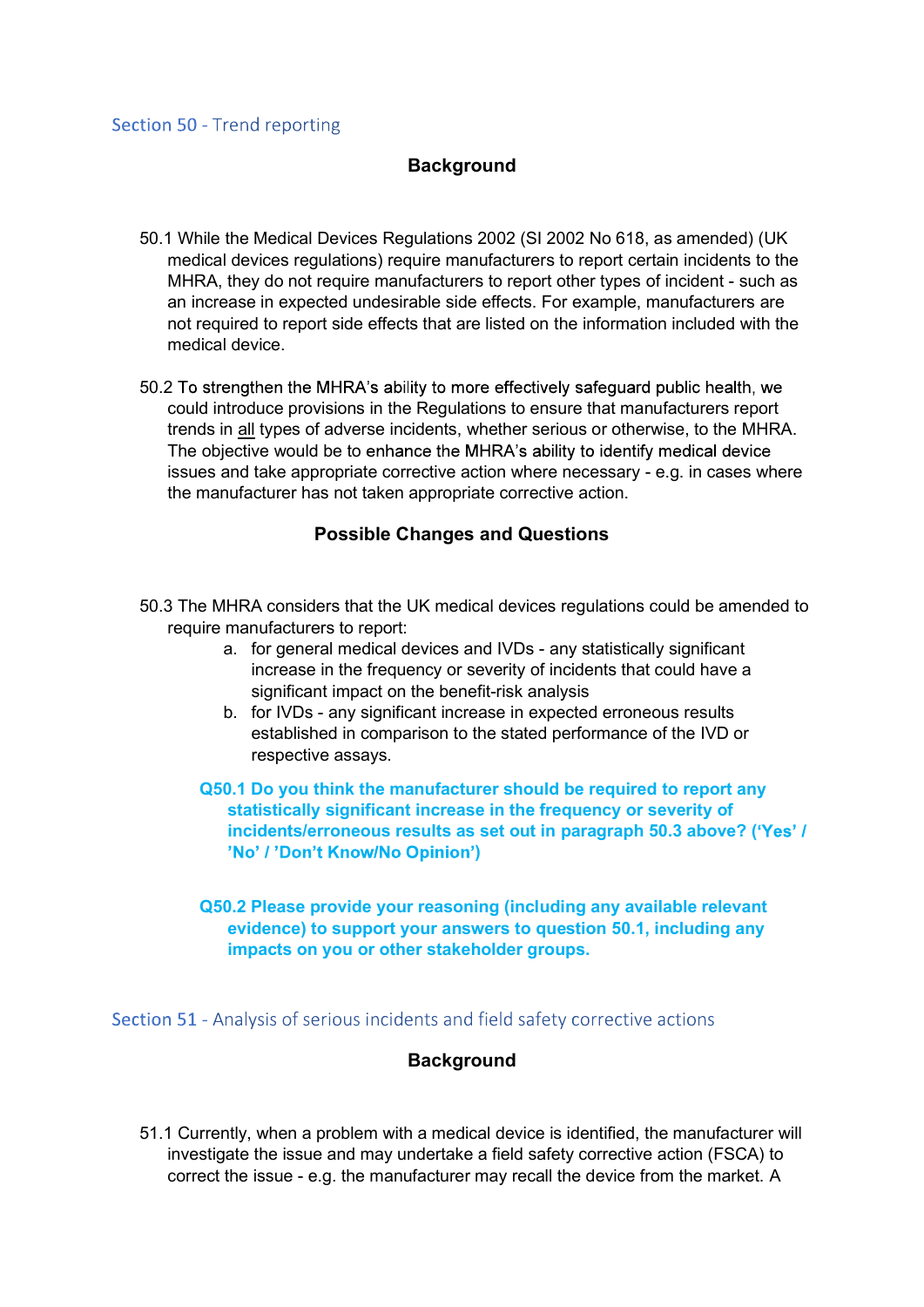#### **Background**

- 50.1 While the Medical Devices Regulations 2002 (SI 2002 No 618, as amended) (UK medical devices regulations) require manufacturers to report certain incidents to the MHRA, they do not require manufacturers to report other types of incident - such as an increase in expected undesirable side effects. For example, manufacturers are not required to report side effects that are listed on the information included with the medical device.
- 50.2 To strengthen the MHRA's ability to more effectively safeguard public health, we could introduce provisions in the Regulations to ensure that manufacturers report trends in all types of adverse incidents, whether serious or otherwise, to the MHRA. The objective would be to enhance the MHRA's ability to identify medical device issues and take appropriate corrective action where necessary - e.g. in cases where the manufacturer has not taken appropriate corrective action.

#### Possible Changes and Questions

- 50.3 The MHRA considers that the UK medical devices regulations could be amended to require manufacturers to report:
	- a. for general medical devices and IVDs any statistically significant increase in the frequency or severity of incidents that could have a significant impact on the benefit-risk analysis
	- b. for IVDs any significant increase in expected erroneous results established in comparison to the stated performance of the IVD or respective assays.
	- Q50.1 Do you think the manufacturer should be required to report any statistically significant increase in the frequency or severity of incidents/erroneous results as set out in paragraph 50.3 above? ('Yes' / )
	- Q50.2 Please provide your reasoning (including any available relevant evidence) to support your answers to question 50.1, including any impacts on you or other stakeholder groups.

Section 51 - Analysis of serious incidents and field safety corrective actions

#### **Background**

51.1 Currently, when a problem with a medical device is identified, the manufacturer will investigate the issue and may undertake a field safety corrective action (FSCA) to correct the issue - e.g. the manufacturer may recall the device from the market. A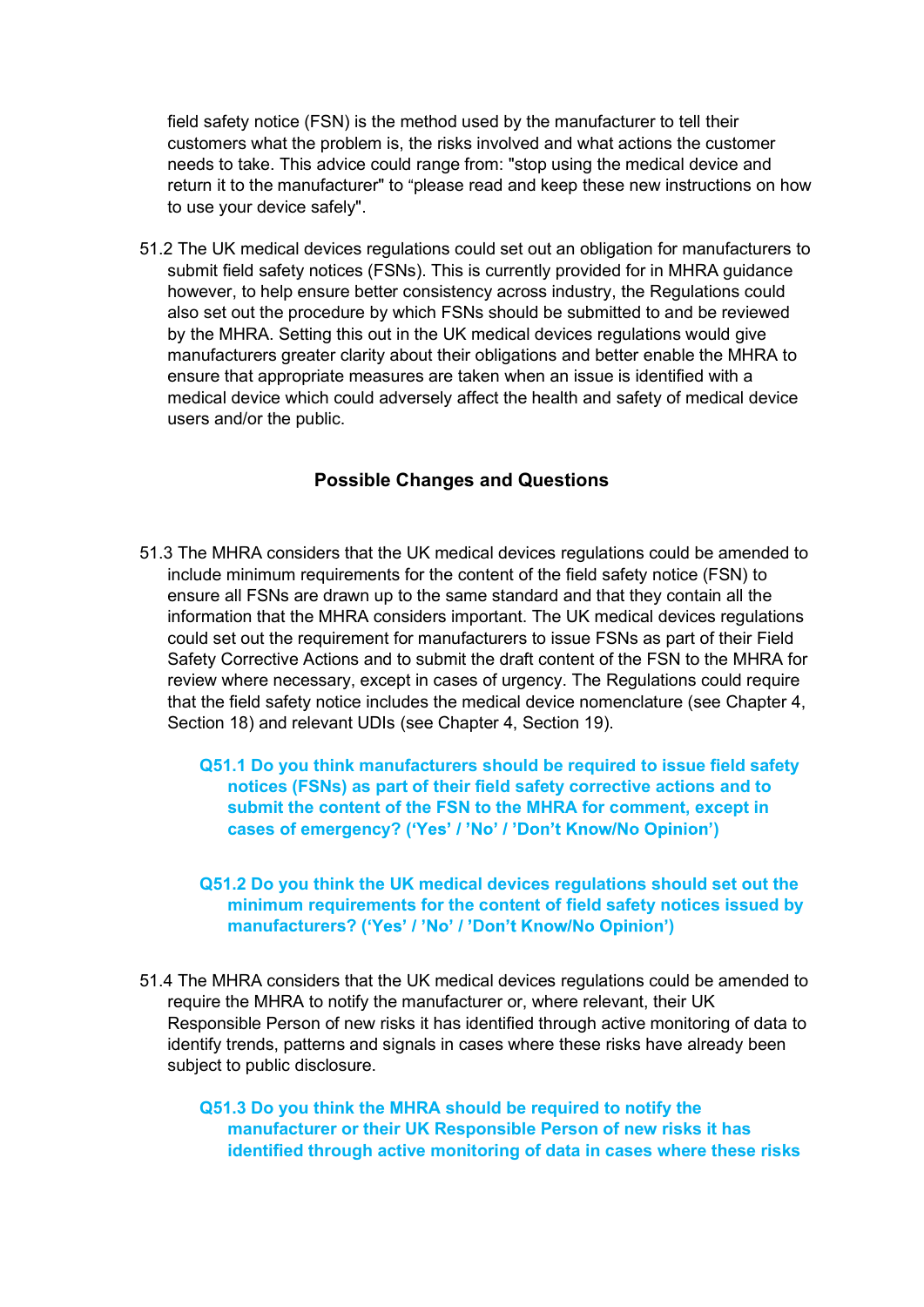field safety notice (FSN) is the method used by the manufacturer to tell their<br>customers what the problem is, the risks involved and what actions the customer<br>needs to take. This advice could range from: "stop using the me customers what the problem is, the risks involved and what actions the customer needs to take. This advice could range from: "stop using the medical device and return it to the manufacturer" to "please read and keep these new instructions on how to use your device safely".

51.2 The UK medical devices regulations could set out an obligation for manufacturers to submit field safety notices (FSNs). This is currently provided for in MHRA guidance however, to help ensure better consistency across industry, the Regulations could also set out the procedure by which FSNs should be submitted to and be reviewed by the MHRA. Setting this out in the UK medical devices regulations would give manufacturers greater clarity about their obligations and better enable the MHRA to ensure that appropriate measures are taken when an issue is identified with a medical device which could adversely affect the health and safety of medical device users and/or the public.

# Possible Changes and Questions

51.3 The MHRA considers that the UK medical devices regulations could be amended to include minimum requirements for the content of the field safety notice (FSN) to ensure all FSNs are drawn up to the same standard and that they contain all the information that the MHRA considers important. The UK medical devices regulations could set out the requirement for manufacturers to issue FSNs as part of their Field Safety Corrective Actions and to submit the draft content of the FSN to the MHRA for review where necessary, except in cases of urgency. The Regulations could require that the field safety notice includes the medical device nomenclature (see Chapter 4, Section 18) and relevant UDIs (see Chapter 4, Section 19).

Q51.1 Do you think manufacturers should be required to issue field safety notices (FSNs) as part of their field safety corrective actions and to submit the content of the FSN to the MHRA for comment, except in cases of emergency? ('Yes' / 'No' / 'Don't Know/No Opinion')

- Q51.2 Do you think the UK medical devices regulations should set out the minimum requirements for the content of field safety notices issued by manufacturers? ('Yes' / 'No' / 'Don't Know/No Opinion')
- 51.4 The MHRA considers that the UK medical devices regulations could be amended to require the MHRA to notify the manufacturer or, where relevant, their UK Responsible Person of new risks it has identified through active monitoring of data to identify trends, patterns and signals in cases where these risks have already been subject to public disclosure.

Q51.3 Do you think the MHRA should be required to notify the manufacturer or their UK Responsible Person of new risks it has identified through active monitoring of data in cases where these risks